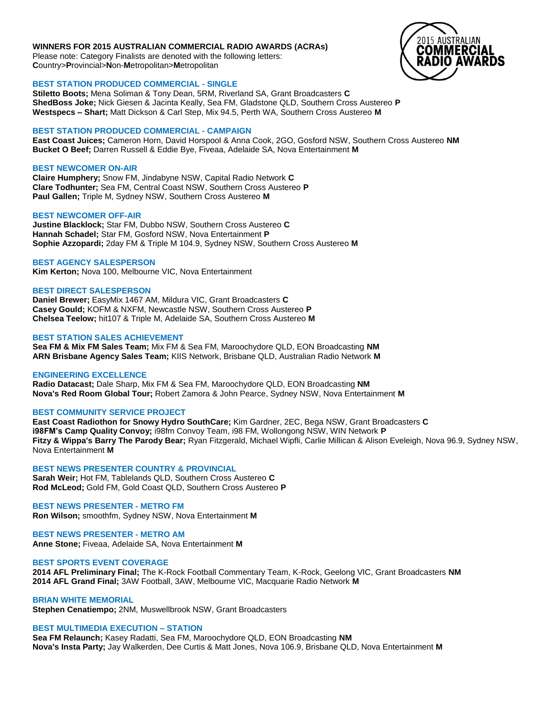## **WINNERS FOR 2015 AUSTRALIAN COMMERCIAL RADIO AWARDS (ACRAs)**

Please note: Category Finalists are denoted with the following letters: **C**ountry>**P**rovincial>**N**on-**M**etropolitan>**M**etropolitan

# **BEST STATION PRODUCED COMMERCIAL - SINGLE**

**Stiletto Boots;** Mena Soliman & Tony Dean, 5RM, Riverland SA, Grant Broadcasters **C ShedBoss Joke;** Nick Giesen & Jacinta Keally, Sea FM, Gladstone QLD, Southern Cross Austereo **P Westspecs – Shart;** Matt Dickson & Carl Step, Mix 94.5, Perth WA, Southern Cross Austereo **M**

# **BEST STATION PRODUCED COMMERCIAL - CAMPAIGN**

**East Coast Juices;** Cameron Horn, David Horspool & Anna Cook, 2GO, Gosford NSW, Southern Cross Austereo **NM Bucket O Beef;** Darren Russell & Eddie Bye, Fiveaa, Adelaide SA, Nova Entertainment **M**

# **BEST NEWCOMER ON-AIR**

**Claire Humphery;** Snow FM, Jindabyne NSW, Capital Radio Network **C Clare Todhunter;** Sea FM, Central Coast NSW, Southern Cross Austereo **P Paul Gallen;** Triple M, Sydney NSW, Southern Cross Austereo **M**

# **BEST NEWCOMER OFF-AIR**

**Justine Blacklock;** Star FM, Dubbo NSW, Southern Cross Austereo **C Hannah Schadel;** Star FM, Gosford NSW, Nova Entertainment **P Sophie Azzopardi;** 2day FM & Triple M 104.9, Sydney NSW, Southern Cross Austereo **M**

# **BEST AGENCY SALESPERSON**

**Kim Kerton;** Nova 100, Melbourne VIC, Nova Entertainment

# **BEST DIRECT SALESPERSON**

**Daniel Brewer;** EasyMix 1467 AM, Mildura VIC, Grant Broadcasters **C Casey Gould;** KOFM & NXFM, Newcastle NSW, Southern Cross Austereo **P Chelsea Teelow;** hit107 & Triple M, Adelaide SA, Southern Cross Austereo **M**

# **BEST STATION SALES ACHIEVEMENT**

**Sea FM & Mix FM Sales Team;** Mix FM & Sea FM, Maroochydore QLD, EON Broadcasting **NM ARN Brisbane Agency Sales Team;** KIIS Network, Brisbane QLD, Australian Radio Network **M**

# **ENGINEERING EXCELLENCE**

**Radio Datacast;** Dale Sharp, Mix FM & Sea FM, Maroochydore QLD, EON Broadcasting **NM Nova's Red Room Global Tour;** Robert Zamora & John Pearce, Sydney NSW, Nova Entertainment **M**

# **BEST COMMUNITY SERVICE PROJECT**

**East Coast Radiothon for Snowy Hydro SouthCare;** Kim Gardner, 2EC, Bega NSW, Grant Broadcasters **C i98FM's Camp Quality Convoy;** i98fm Convoy Team, i98 FM, Wollongong NSW, WIN Network **P Fitzy & Wippa's Barry The Parody Bear;** Ryan Fitzgerald, Michael Wipfli, Carlie Millican & Alison Eveleigh, Nova 96.9, Sydney NSW, Nova Entertainment **M**

**BEST NEWS PRESENTER COUNTRY & PROVINCIAL Sarah Weir;** Hot FM, Tablelands QLD, Southern Cross Austereo **C Rod McLeod;** Gold FM, Gold Coast QLD, Southern Cross Austereo **P**

**BEST NEWS PRESENTER - METRO FM Ron Wilson;** smoothfm, Sydney NSW, Nova Entertainment **M**

**BEST NEWS PRESENTER - METRO AM Anne Stone;** Fiveaa, Adelaide SA, Nova Entertainment **M**

# **BEST SPORTS EVENT COVERAGE**

**2014 AFL Preliminary Final;** The K-Rock Football Commentary Team, K-Rock, Geelong VIC, Grant Broadcasters **NM 2014 AFL Grand Final;** 3AW Football, 3AW, Melbourne VIC, Macquarie Radio Network **M**

**BRIAN WHITE MEMORIAL Stephen Cenatiempo;** 2NM, Muswellbrook NSW, Grant Broadcasters

# **BEST MULTIMEDIA EXECUTION – STATION**

**Sea FM Relaunch;** Kasey Radatti, Sea FM, Maroochydore QLD, EON Broadcasting **NM Nova's Insta Party;** Jay Walkerden, Dee Curtis & Matt Jones, Nova 106.9, Brisbane QLD, Nova Entertainment **M**

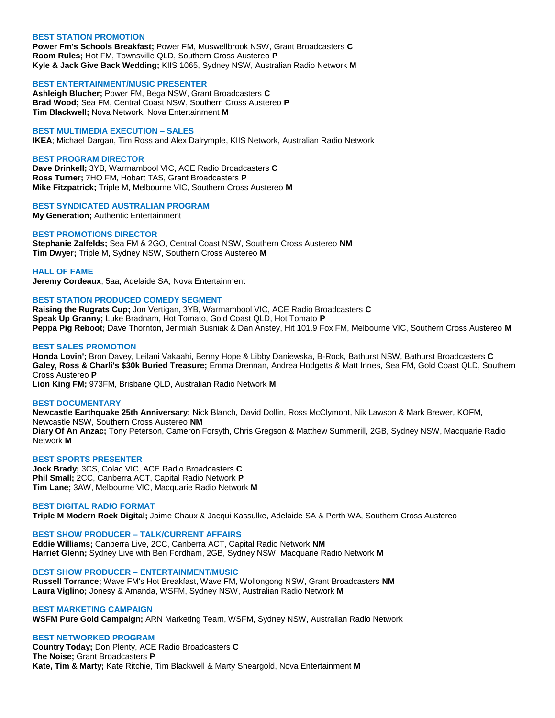## **BEST STATION PROMOTION**

**Power Fm's Schools Breakfast;** Power FM, Muswellbrook NSW, Grant Broadcasters **C Room Rules;** Hot FM, Townsville QLD, Southern Cross Austereo **P Kyle & Jack Give Back Wedding;** KIIS 1065, Sydney NSW, Australian Radio Network **M**

## **BEST ENTERTAINMENT/MUSIC PRESENTER**

**Ashleigh Blucher;** Power FM, Bega NSW, Grant Broadcasters **C Brad Wood;** Sea FM, Central Coast NSW, Southern Cross Austereo **P Tim Blackwell;** Nova Network, Nova Entertainment **M**

## **BEST MULTIMEDIA EXECUTION – SALES**

**IKEA**; Michael Dargan, Tim Ross and Alex Dalrymple, KIIS Network, Australian Radio Network

## **BEST PROGRAM DIRECTOR**

**Dave Drinkell;** 3YB, Warrnambool VIC, ACE Radio Broadcasters **C Ross Turner;** 7HO FM, Hobart TAS, Grant Broadcasters **P Mike Fitzpatrick;** Triple M, Melbourne VIC, Southern Cross Austereo **M**

## **BEST SYNDICATED AUSTRALIAN PROGRAM**

**My Generation;** Authentic Entertainment

## **BEST PROMOTIONS DIRECTOR**

**Stephanie Zalfelds;** Sea FM & 2GO, Central Coast NSW, Southern Cross Austereo **NM Tim Dwyer;** Triple M, Sydney NSW, Southern Cross Austereo **M**

#### **HALL OF FAME**

**Jeremy Cordeaux**, 5aa, Adelaide SA, Nova Entertainment

## **BEST STATION PRODUCED COMEDY SEGMENT**

**Raising the Rugrats Cup;** Jon Vertigan, 3YB, Warrnambool VIC, ACE Radio Broadcasters **C Speak Up Granny;** Luke Bradnam, Hot Tomato, Gold Coast QLD, Hot Tomato **P Peppa Pig Reboot;** Dave Thornton, Jerimiah Busniak & Dan Anstey, Hit 101.9 Fox FM, Melbourne VIC, Southern Cross Austereo **M**

## **BEST SALES PROMOTION**

**Honda Lovin';** Bron Davey, Leilani Vakaahi, Benny Hope & Libby Daniewska, B-Rock, Bathurst NSW, Bathurst Broadcasters **C Galey, Ross & Charli's \$30k Buried Treasure;** Emma Drennan, Andrea Hodgetts & Matt Innes, Sea FM, Gold Coast QLD, Southern Cross Austereo **P**

**Lion King FM;** 973FM, Brisbane QLD, Australian Radio Network **M**

# **BEST DOCUMENTARY**

**Newcastle Earthquake 25th Anniversary;** Nick Blanch, David Dollin, Ross McClymont, Nik Lawson & Mark Brewer, KOFM, Newcastle NSW, Southern Cross Austereo **NM Diary Of An Anzac;** Tony Peterson, Cameron Forsyth, Chris Gregson & Matthew Summerill, 2GB, Sydney NSW, Macquarie Radio Network **M**

## **BEST SPORTS PRESENTER**

**Jock Brady;** 3CS, Colac VIC, ACE Radio Broadcasters **C Phil Small;** 2CC, Canberra ACT, Capital Radio Network **P Tim Lane;** 3AW, Melbourne VIC, Macquarie Radio Network **M**

#### **BEST DIGITAL RADIO FORMAT**

**Triple M Modern Rock Digital;** Jaime Chaux & Jacqui Kassulke, Adelaide SA & Perth WA, Southern Cross Austereo

# **BEST SHOW PRODUCER – TALK/CURRENT AFFAIRS**

**Eddie Williams;** Canberra Live, 2CC, Canberra ACT, Capital Radio Network **NM Harriet Glenn;** Sydney Live with Ben Fordham, 2GB, Sydney NSW, Macquarie Radio Network **M**

#### **BEST SHOW PRODUCER – ENTERTAINMENT/MUSIC**

**Russell Torrance;** Wave FM's Hot Breakfast, Wave FM, Wollongong NSW, Grant Broadcasters **NM Laura Viglino;** Jonesy & Amanda, WSFM, Sydney NSW, Australian Radio Network **M**

#### **BEST MARKETING CAMPAIGN**

**WSFM Pure Gold Campaign;** ARN Marketing Team, WSFM, Sydney NSW, Australian Radio Network

## **BEST NETWORKED PROGRAM**

**Country Today;** Don Plenty, ACE Radio Broadcasters **C The Noise;** Grant Broadcasters **P Kate, Tim & Marty;** Kate Ritchie, Tim Blackwell & Marty Sheargold, Nova Entertainment **M**